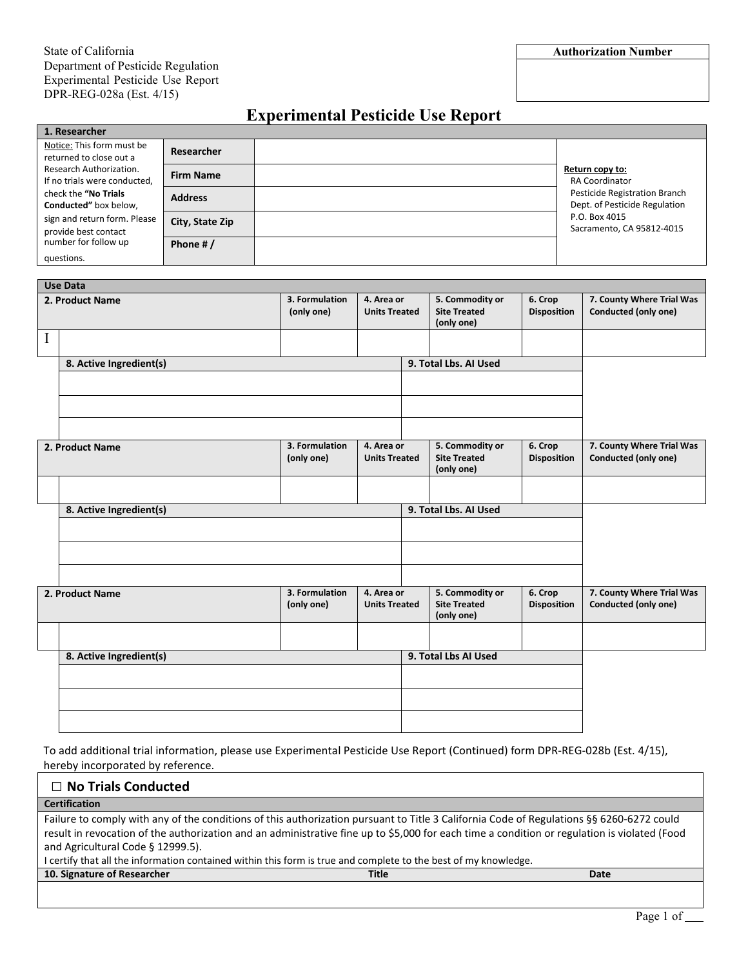## **Experimental Pesticide Use Report**

| 1. Researcher                                                                                                                                                    |                   |  |  |                                                                                                                                                          |  |  |  |  |
|------------------------------------------------------------------------------------------------------------------------------------------------------------------|-------------------|--|--|----------------------------------------------------------------------------------------------------------------------------------------------------------|--|--|--|--|
| Notice: This form must be<br>returned to close out a                                                                                                             | <b>Researcher</b> |  |  |                                                                                                                                                          |  |  |  |  |
| Research Authorization.<br>If no trials were conducted,<br>check the "No Trials<br>Conducted" box below,<br>sign and return form. Please<br>provide best contact | <b>Firm Name</b>  |  |  | Return copy to:<br><b>RA Coordinator</b><br>Pesticide Registration Branch<br>Dept. of Pesticide Regulation<br>P.O. Box 4015<br>Sacramento, CA 95812-4015 |  |  |  |  |
|                                                                                                                                                                  | <b>Address</b>    |  |  |                                                                                                                                                          |  |  |  |  |
|                                                                                                                                                                  | City, State Zip   |  |  |                                                                                                                                                          |  |  |  |  |
| number for follow up                                                                                                                                             | Phone #/          |  |  |                                                                                                                                                          |  |  |  |  |
| questions.                                                                                                                                                       |                   |  |  |                                                                                                                                                          |  |  |  |  |

|                 | <b>Use Data</b>         |                              |                                    |                       |                                                      |                               |                                                   |
|-----------------|-------------------------|------------------------------|------------------------------------|-----------------------|------------------------------------------------------|-------------------------------|---------------------------------------------------|
| 2. Product Name |                         | 3. Formulation<br>(only one) | 4. Area or<br><b>Units Treated</b> |                       | 5. Commodity or<br><b>Site Treated</b><br>(only one) | 6. Crop<br><b>Disposition</b> | 7. County Where Trial Was<br>Conducted (only one) |
| I               |                         |                              |                                    |                       |                                                      |                               |                                                   |
|                 | 8. Active Ingredient(s) |                              |                                    |                       | 9. Total Lbs. AI Used                                |                               |                                                   |
|                 |                         |                              |                                    |                       |                                                      |                               |                                                   |
|                 |                         |                              |                                    |                       |                                                      |                               |                                                   |
|                 |                         |                              |                                    |                       |                                                      |                               |                                                   |
| 2. Product Name |                         | 3. Formulation               | 4. Area or                         |                       | 5. Commodity or                                      | 6. Crop                       | 7. County Where Trial Was                         |
|                 |                         | (only one)                   | <b>Units Treated</b>               |                       | <b>Site Treated</b><br>(only one)                    | <b>Disposition</b>            | Conducted (only one)                              |
|                 |                         |                              |                                    |                       |                                                      |                               |                                                   |
|                 | 8. Active Ingredient(s) |                              |                                    | 9. Total Lbs. Al Used |                                                      |                               |                                                   |
|                 |                         |                              |                                    |                       |                                                      |                               |                                                   |
|                 |                         |                              |                                    |                       |                                                      |                               |                                                   |
|                 |                         |                              |                                    |                       |                                                      |                               |                                                   |
|                 |                         |                              |                                    |                       |                                                      |                               |                                                   |
|                 | 2. Product Name         | 3. Formulation<br>(only one) | 4. Area or<br><b>Units Treated</b> |                       | 5. Commodity or<br><b>Site Treated</b><br>(only one) | 6. Crop<br><b>Disposition</b> | 7. County Where Trial Was<br>Conducted (only one) |
|                 |                         |                              |                                    |                       |                                                      |                               |                                                   |
|                 |                         |                              |                                    |                       |                                                      |                               |                                                   |
|                 | 8. Active Ingredient(s) |                              |                                    | 9. Total Lbs AI Used  |                                                      |                               |                                                   |
|                 |                         |                              |                                    |                       |                                                      |                               |                                                   |
|                 |                         |                              |                                    |                       |                                                      |                               |                                                   |
|                 |                         |                              |                                    |                       |                                                      |                               |                                                   |
|                 |                         |                              |                                    |                       |                                                      |                               |                                                   |

To add additional trial information, please use Experimental Pesticide Use Report (Continued) form DPR-REG-028b (Est. 4/15), hereby incorporated by reference.

| $\Box$ No Trials Conducted                                                                                                                   |              |      |  |  |  |
|----------------------------------------------------------------------------------------------------------------------------------------------|--------------|------|--|--|--|
| <b>Certification</b>                                                                                                                         |              |      |  |  |  |
| Failure to comply with any of the conditions of this authorization pursuant to Title 3 California Code of Regulations §§ 6260-6272 could     |              |      |  |  |  |
| result in revocation of the authorization and an administrative fine up to \$5,000 for each time a condition or regulation is violated (Food |              |      |  |  |  |
| and Agricultural Code § 12999.5).                                                                                                            |              |      |  |  |  |
| I certify that all the information contained within this form is true and complete to the best of my knowledge.                              |              |      |  |  |  |
| 10. Signature of Researcher                                                                                                                  | <b>Title</b> | Date |  |  |  |
|                                                                                                                                              |              |      |  |  |  |
|                                                                                                                                              |              |      |  |  |  |